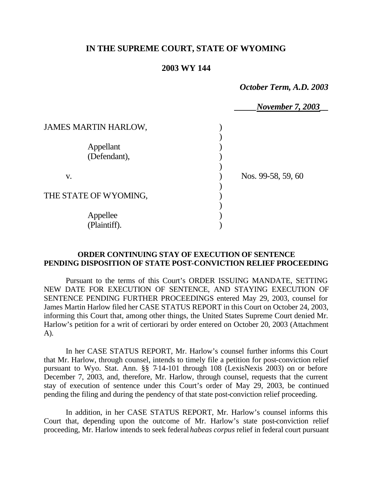## **IN THE SUPREME COURT, STATE OF WYOMING**

## **2003 WY 144**

*October Term, A.D. 2003*

|                             | <b>November 7, 2003</b> |
|-----------------------------|-------------------------|
| <b>JAMES MARTIN HARLOW,</b> |                         |
|                             |                         |
| Appellant<br>(Defendant),   |                         |
|                             |                         |
| V.                          | Nos. 99-58, 59, 60      |
| THE STATE OF WYOMING,       |                         |
| Appellee                    |                         |
| (Plaintiff).                |                         |

## **ORDER CONTINUING STAY OF EXECUTION OF SENTENCE PENDING DISPOSITION OF STATE POST-CONVICTION RELIEF PROCEEDING**

Pursuant to the terms of this Court's ORDER ISSUING MANDATE, SETTING NEW DATE FOR EXECUTION OF SENTENCE, AND STAYING EXECUTION OF SENTENCE PENDING FURTHER PROCEEDINGS entered May 29, 2003, counsel for James Martin Harlow filed her CASE STATUS REPORT in this Court on October 24, 2003, informing this Court that, among other things, the United States Supreme Court denied Mr. Harlow's petition for a writ of certiorari by order entered on October 20, 2003 (Attachment A).

In her CASE STATUS REPORT, Mr. Harlow's counsel further informs this Court that Mr. Harlow, through counsel, intends to timely file a petition for post-conviction relief pursuant to Wyo. Stat. Ann. §§ 7-14-101 through 108 (LexisNexis 2003) on or before December 7, 2003, and, therefore, Mr. Harlow, through counsel, requests that the current stay of execution of sentence under this Court's order of May 29, 2003, be continued pending the filing and during the pendency of that state post-conviction relief proceeding.

In addition, in her CASE STATUS REPORT, Mr. Harlow's counsel informs this Court that, depending upon the outcome of Mr. Harlow's state post-conviction relief proceeding, Mr. Harlow intends to seek federal *habeas corpus* relief in federal court pursuant